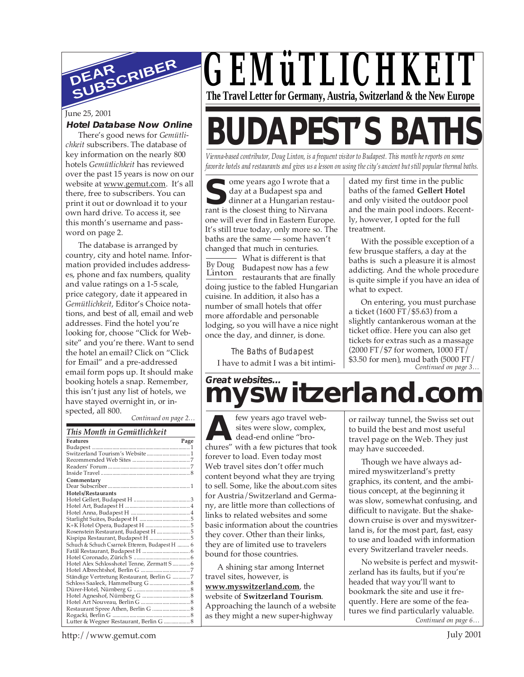

#### June 25, 2001

#### **Hotel Database Now Online**

There's good news for *Gemütlichkeit* subscribers. The database of key information on the nearly 800 hotels *Gemütlichkeit* has reviewed over the past 15 years is now on our website at www.gemut.com. It's all there, free to subscribers. You can print it out or download it to your own hard drive. To access it, see this month's username and password on page 2.

The database is arranged by country, city and hotel name. Information provided includes addresses, phone and fax numbers, quality and value ratings on a 1-5 scale, price category, date it appeared in *Gemütlichkeit*, Editor's Choice notations, and best of all, email and web addresses. Find the hotel you're looking for, choose "Click for Website" and you're there. Want to send the hotel an email? Click on "Click for Email" and a pre-addressed email form pops up. It should make booking hotels a snap. Remember, this isn't just any list of hotels, we have stayed overnight in, or inspected, all 800.

*Continued on page 2…*

#### *This Month in Gemütlichkeit*

| This month in Gemuticated                      |      |
|------------------------------------------------|------|
| <b>Features</b>                                | Page |
|                                                |      |
| Switzerland Tourism's Website 1                |      |
|                                                |      |
|                                                |      |
|                                                |      |
| Commentary                                     |      |
|                                                |      |
| Hotels/Restaurants                             |      |
|                                                |      |
|                                                |      |
|                                                |      |
|                                                |      |
|                                                |      |
| Rosenstein Restaurant, Budapest H5             |      |
| Kispipa Restaurant, Budapest H  5              |      |
| Schuch & Schuch Csarnok Etterem, Budapest H  6 |      |
|                                                |      |
|                                                |      |
| Hotel Alex Schlosshotel Tenne, Zermatt S  6    |      |
|                                                |      |
| Ständige Vertretung Restaurant, Berlin G 7     |      |
| Schloss Saaleck, Hammelburg G  8               |      |
|                                                |      |
|                                                |      |
|                                                |      |
|                                                |      |
|                                                |      |
| Lutter & Wegner Restaurant, Berlin G  8        |      |
|                                                |      |

## *GEMüTLICHKEIT* **The Travel Letter for Germany, Austria, Switzerland & the New Europe**

# **BUDAPEST'S BATH**

*Vienna-based contributor, Doug Linton, is a frequent visitor to Budapest. This month he reports on some favorite hotels and restaurants and gives us a lesson on using the city's ancient but still popular thermal baths.*

**S** rant is the closest thing to Nirvana ome years ago I wrote that a day at a Budapest spa and dinner at a Hungarian restauone will ever find in Eastern Europe. It's still true today, only more so. The baths are the same — some haven't changed that much in centuries.

By Doug Linton What is different is that Budapest now has a few restaurants that are finally doing justice to the fabled Hungarian cuisine. In addition, it also has a number of small hotels that offer more affordable and personable lodging, so you will have a nice night once the day, and dinner, is done.

The Baths of Budapest I have to admit I was a bit intimidated my first time in the public baths of the famed **Gellert Hotel** and only visited the outdoor pool and the main pool indoors. Recently, however, I opted for the full treatment.

With the possible exception of a few brusque staffers, a day at the baths is such a pleasure it is almost addicting. And the whole procedure is quite simple if you have an idea of what to expect.

*Continued on page 3…* On entering, you must purchase a ticket (1600 FT/\$5.63) from a slightly cantankerous woman at the ticket office. Here you can also get tickets for extras such as a massage (2000 FT/\$7 for women, 1000 FT/ \$3.50 for men), mud bath (5000 FT/

### **Great websites... myswitzerland.com**

**A**<br>
sites were slow, complex,<br>
dead-end online "bro-<br>
chures" with a few pictures that took few years ago travel websites were slow, complex, dead-end online "broforever to load. Even today most Web travel sites don't offer much content beyond what they are trying to sell. Some, like the about.com sites for Austria/Switzerland and Germany, are little more than collections of links to related websites and some basic information about the countries they cover. Other than their links, they are of limited use to travelers bound for those countries.

A shining star among Internet travel sites, however, is **www.myswitzerland.com**, the website of **Switzerland Tourism**. Approaching the launch of a website as they might a new super-highway

or railway tunnel, the Swiss set out to build the best and most useful travel page on the Web. They just may have succeeded.

Though we have always admired myswitzerland's pretty graphics, its content, and the ambitious concept, at the beginning it was slow, somewhat confusing, and difficult to navigate. But the shakedown cruise is over and myswitzerland is, for the most part, fast, easy to use and loaded with information every Switzerland traveler needs.

*Continued on page 6…* No website is perfect and myswitzerland has its faults, but if you're headed that way you'll want to bookmark the site and use it frequently. Here are some of the features we find particularly valuable.

http://www.gemut.com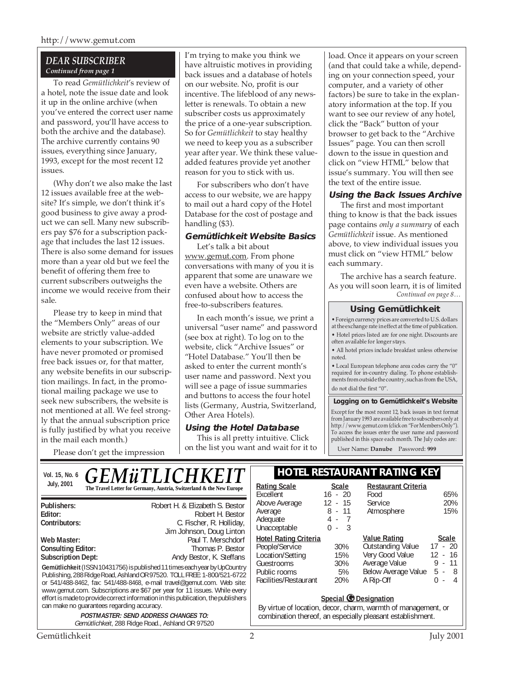#### http://www.gemut.com

#### *DEAR SUBSCRIBER Continued from page 1*

To read *Gemütlichkeit*'s review of a hotel, note the issue date and look it up in the online archive (when you've entered the correct user name and password, you'll have access to both the archive and the database). The archive currently contains 90 issues, everything since January, 1993, except for the most recent 12 issues.

(Why don't we also make the last 12 issues available free at the website? It's simple, we don't think it's good business to give away a product we can sell. Many new subscribers pay \$76 for a subscription package that includes the last 12 issues. There is also some demand for issues more than a year old but we feel the benefit of offering them free to current subscribers outweighs the income we would receive from their sale.

Please try to keep in mind that the "Members Only" areas of our website are strictly value-added elements to your subscription. We have never promoted or promised free back issues or, for that matter, any website benefits in our subscription mailings. In fact, in the promotional mailing package we use to seek new subscribers, the website is not mentioned at all. We feel strongly that the annual subscription price is fully justified by what you receive in the mail each month.)

I'm trying to make you think we have altruistic motives in providing back issues and a database of hotels on our website. No, profit is our incentive. The lifeblood of any newsletter is renewals. To obtain a new subscriber costs us approximately the price of a one-year subscription. So for *Gemütlichkeit* to stay healthy we need to keep you as a subscriber year after year. We think these valueadded features provide yet another reason for you to stick with us.

For subscribers who don't have access to our website, we are happy to mail out a hard copy of the Hotel Database for the cost of postage and handling (\$3).

#### **Gemütlichkeit Website Basics**

Let's talk a bit about www.gemut.com. From phone conversations with many of you it is apparent that some are unaware we even have a website. Others are confused about how to access the free-to-subscribers features.

In each month's issue, we print a universal "user name" and password (see box at right). To log on to the website, click "Archive Issues" or "Hotel Database." You'll then be asked to enter the current month's user name and password. Next you will see a page of issue summaries and buttons to access the four hotel lists (Germany, Austria, Switzerland, Other Area Hotels).

#### **Using the Hotel Database**

This is all pretty intuitive. Click on the list you want and wait for it to load. Once it appears on your screen (and that could take a while, depending on your connection speed, your computer, and a variety of other factors) be sure to take in the explanatory information at the top. If you want to see our review of any hotel, click the "Back" button of your browser to get back to the "Archive Issues" page. You can then scroll down to the issue in question and click on "view HTML" below that issue's summary. You will then see the text of the entire issue.

#### **Using the Back Issues Archive**

The first and most important thing to know is that the back issues page contains *only a summary* of each *Gemütlichkeit* issue. As mentioned above, to view individual issues you must click on "view HTML" below each summary.

*Continued on page 8…* The archive has a search feature. As you will soon learn, it is of limited

#### **Using Gemütlichkeit**

• Foreign currency prices are converted to U.S. dollars at the exchange rate in effect at the time of publication. • Hotel prices listed are for one night. Discounts are often available for longer stays.

• All hotel prices include breakfast unless otherwise noted.

• Local European telephone area codes carry the "0" required for in-country dialing. To phone establishments from outside the country, such as from the USA, do not dial the first "0".

#### **Logging on to Gemütlichkeit's Website**

Except for the most recent 12, back issues in text format from January 1993 are available free to subscribers only at http://www.gemut.com (click on "For Members Only"). To access the issues enter the user name and password published in this space each month. The July codes are:

User Name: **Danube** Password: **999**

Please don't get the impression

| <b>GEMÜTLICHKEIT</b><br>Vol. 15, No. 6                                                                                                                                                                                                                                                                          |                                                                                                                                                                                                                                                                                                       | <b>HOTEL RESTAURANT RATING KEY</b>                                                                                                                          |                                                                    |                                                                                                                  |                                                                                                       |
|-----------------------------------------------------------------------------------------------------------------------------------------------------------------------------------------------------------------------------------------------------------------------------------------------------------------|-------------------------------------------------------------------------------------------------------------------------------------------------------------------------------------------------------------------------------------------------------------------------------------------------------|-------------------------------------------------------------------------------------------------------------------------------------------------------------|--------------------------------------------------------------------|------------------------------------------------------------------------------------------------------------------|-------------------------------------------------------------------------------------------------------|
| July, 2001                                                                                                                                                                                                                                                                                                      | The Travel Letter for Germany, Austria, Switzerland & the New Europe                                                                                                                                                                                                                                  | <b>Rating Scale</b><br>Excellent                                                                                                                            | <b>Scale</b><br>$16 - 20$                                          | <b>Restaurant Criteria</b><br>Food                                                                               | 65%                                                                                                   |
| Publishers:<br>Editor:<br>Contributors:                                                                                                                                                                                                                                                                         | Robert H. & Elizabeth S. Bestor<br>Robert H. Bestor<br>C. Fischer, R. Holliday,<br>Jim Johnson, Doug Linton                                                                                                                                                                                           | Above Average<br>Average<br>Adequate<br>Unacceptable                                                                                                        | $12 - 15$<br>$8 - 11$<br>4 -<br>3<br>0<br>$\overline{\phantom{a}}$ | Service<br>Atmosphere                                                                                            | 20%<br>15%                                                                                            |
| Web Master:<br><b>Consulting Editor:</b><br><b>Subscription Dept:</b>                                                                                                                                                                                                                                           | Paul T. Merschdorf<br>Thomas P. Bestor<br>Andy Bestor, K. Steffans<br>Gemütlichkeit (ISSN 10431756) is published 11 times each year by UpCountry<br>Publishing, 288 Ridge Road, Ashland OR 97520. TOLL FREE: 1-800/521-6722<br>or 541/488-8462, fax: 541/488-8468, e-mail travel@gemut.com. Web site: | <b>Hotel Rating Criteria</b><br>People/Service<br>Location/Setting<br>Guestrooms<br>Public rooms<br>Facilities/Restaurant                                   | 30%<br>15%<br>30%<br>5%<br>20%                                     | <b>Value Rating</b><br>Outstanding Value<br>Very Good Value<br>Average Value<br>Below Average Value<br>A Rip-Off | Scale<br>$17 - 20$<br>$12 - 16$<br>11<br>9<br>$\sim$<br>$5 - 8$<br>0<br>Δ<br>$\overline{\phantom{a}}$ |
| www.gemut.com. Subscriptions are \$67 per year for 11 issues. While every<br>effort is made to provide correct information in this publication, the publishers<br>can make no guarantees regarding accuracy.<br><b>POSTMASTER: SEND ADDRESS CHANGES TO:</b><br>Gemütlichkeit, 288 Ridge Road., Ashland OR 97520 |                                                                                                                                                                                                                                                                                                       | Special <b>C</b> Designation<br>By virtue of location, decor, charm, warmth of management, or<br>combination thereof, an especially pleasant establishment. |                                                                    |                                                                                                                  |                                                                                                       |
| Gemütlichkeit                                                                                                                                                                                                                                                                                                   |                                                                                                                                                                                                                                                                                                       | 2                                                                                                                                                           |                                                                    |                                                                                                                  | July 2001                                                                                             |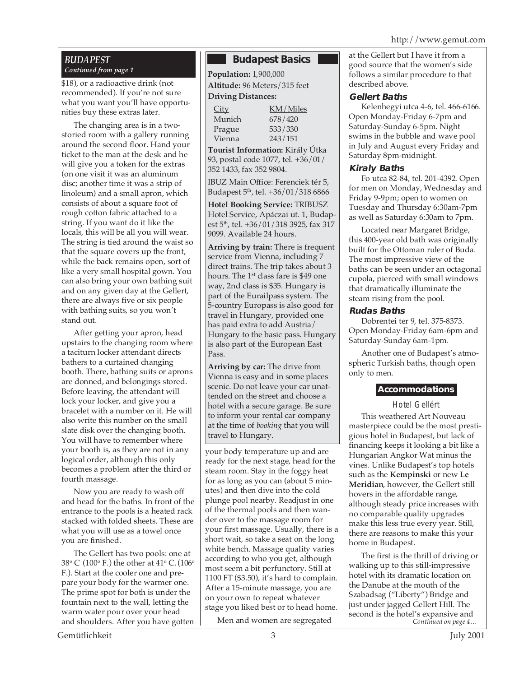http://www.gemut.com

### *BUDAPEST*

\$18), or a radioactive drink (not recommended). If you're not sure what you want you'll have opportunities buy these extras later.

The changing area is in a twostoried room with a gallery running around the second floor. Hand your ticket to the man at the desk and he will give you a token for the extras (on one visit it was an aluminum disc; another time it was a strip of linoleum) and a small apron, which consists of about a square foot of rough cotton fabric attached to a string. If you want do it like the locals, this will be all you will wear. The string is tied around the waist so that the square covers up the front, while the back remains open, sort of like a very small hospital gown. You can also bring your own bathing suit and on any given day at the Gellert, there are always five or six people with bathing suits, so you won't stand out.

After getting your apron, head upstairs to the changing room where a taciturn locker attendant directs bathers to a curtained changing booth. There, bathing suits or aprons are donned, and belongings stored. Before leaving, the attendant will lock your locker, and give you a bracelet with a number on it. He will also write this number on the small slate disk over the changing booth. You will have to remember where your booth is, as they are not in any logical order, although this only becomes a problem after the third or fourth massage.

Now you are ready to wash off and head for the baths. In front of the entrance to the pools is a heated rack stacked with folded sheets. These are what you will use as a towel once you are finished.

The Gellert has two pools: one at 38° C (100° F.) the other at 41° C.(106° F.). Start at the cooler one and prepare your body for the warmer one. The prime spot for both is under the fountain next to the wall, letting the warm water pour over your head and shoulders. After you have gotten

#### **Budapest Basics**

*Continued from page 1* **Population:** 1,900,000 **Altitude:** 96 Meters/315 feet **Driving Distances:**

| City   | KM/Mil  |
|--------|---------|
| Munich | 678/420 |
| Prague | 533/330 |
| Vienna | 243/151 |

City KM/Miles  $243/151$ 

**Tourist Information:** Király Útka 93, postal code 1077, tel. +36/01/ 352 1433, fax 352 9804.

IBUZ Main Office: Ferenciek tér 5, Budapest 5th, tel. +36/01/318 6866

**Hotel Booking Service:** TRIBUSZ Hotel Service, Apáczai ut. 1, Budapest 5<sup>th</sup>, tel. +36/01/318 3925, fax 317 9099. Available 24 hours.

**Arriving by train:** There is frequent service from Vienna, including 7 direct trains. The trip takes about 3 hours. The 1<sup>st</sup> class fare is \$49 one way, 2nd class is \$35. Hungary is part of the Eurailpass system. The 5-country Europass is also good for travel in Hungary, provided one has paid extra to add Austria/ Hungary to the basic pass. Hungary is also part of the European East Pass.

**Arriving by car:** The drive from Vienna is easy and in some places scenic. Do not leave your car unattended on the street and choose a hotel with a secure garage. Be sure to inform your rental car company at the time of *booking* that you will travel to Hungary.

your body temperature up and are ready for the next stage, head for the steam room. Stay in the foggy heat for as long as you can (about 5 minutes) and then dive into the cold plunge pool nearby. Readjust in one of the thermal pools and then wander over to the massage room for your first massage. Usually, there is a short wait, so take a seat on the long white bench. Massage quality varies according to who you get, although most seem a bit perfunctory. Still at 1100 FT (\$3.50), it's hard to complain. After a 15-minute massage, you are on your own to repeat whatever stage you liked best or to head home.

Men and women are segregated

at the Gellert but I have it from a good source that the women's side follows a similar procedure to that described above.

#### **Gellert Baths**

Kelenhegyi utca 4-6, tel. 466-6166. Open Monday-Friday 6-7pm and Saturday-Sunday 6-5pm. Night swims in the bubble and wave pool in July and August every Friday and Saturday 8pm-midnight.

#### **Kiraly Baths**

Fo utca 82-84, tel. 201-4392. Open for men on Monday, Wednesday and Friday 9-9pm; open to women on Tuesday and Thursday 6:30am-7pm as well as Saturday 6:30am to 7pm.

Located near Margaret Bridge, this 400-year old bath was originally built for the Ottoman ruler of Buda. The most impressive view of the baths can be seen under an octagonal cupola, pierced with small windows that dramatically illuminate the steam rising from the pool.

#### **Rudas Baths**

Dobrentei ter 9, tel. 375-8373. Open Monday-Friday 6am-6pm and Saturday-Sunday 6am-1pm.

Another one of Budapest's atmospheric Turkish baths, though open only to men.

#### **Accommodations**

Hotel Gellért

This weathered Art Nouveau masterpiece could be the most prestigious hotel in Budapest, but lack of financing keeps it looking a bit like a Hungarian Angkor Wat minus the vines. Unlike Budapest's top hotels such as the **Kempinski** or new **Le Meridian**, however, the Gellert still hovers in the affordable range, although steady price increases with no comparable quality upgrades make this less true every year. Still, there are reasons to make this your home in Budapest.

*Continued on page 4…* The first is the thrill of driving or walking up to this still-impressive hotel with its dramatic location on the Danube at the mouth of the Szabadsag ("Liberty") Bridge and just under jagged Gellert Hill. The second is the hotel's expansive and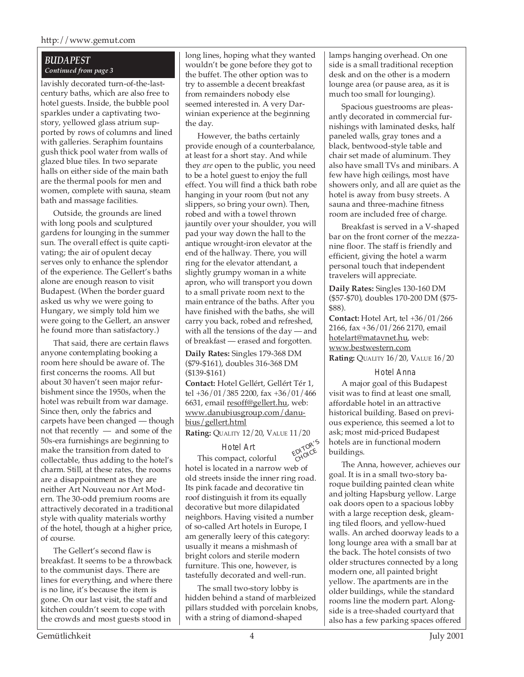#### *BUDAPEST Continued from page 3*

lavishly decorated turn-of-the-lastcentury baths, which are also free to hotel guests. Inside, the bubble pool sparkles under a captivating twostory, yellowed glass atrium supported by rows of columns and lined with galleries. Seraphim fountains gush thick pool water from walls of glazed blue tiles. In two separate halls on either side of the main bath are the thermal pools for men and women, complete with sauna, steam bath and massage facilities.

Outside, the grounds are lined with long pools and sculptured gardens for lounging in the summer sun. The overall effect is quite captivating; the air of opulent decay serves only to enhance the splendor of the experience. The Gellert's baths alone are enough reason to visit Budapest. (When the border guard asked us why we were going to Hungary, we simply told him we were going to the Gellert, an answer he found more than satisfactory.)

That said, there are certain flaws anyone contemplating booking a room here should be aware of. The first concerns the rooms. All but about 30 haven't seen major refurbishment since the 1950s, when the hotel was rebuilt from war damage. Since then, only the fabrics and carpets have been changed — though not that recently — and some of the 50s-era furnishings are beginning to make the transition from dated to collectable, thus adding to the hotel's charm. Still, at these rates, the rooms are a disappointment as they are neither Art Nouveau nor Art Modern. The 30-odd premium rooms are attractively decorated in a traditional style with quality materials worthy of the hotel, though at a higher price, of course.

The Gellert's second flaw is breakfast. It seems to be a throwback to the communist days. There are lines for everything, and where there is no line, it's because the item is gone. On our last visit, the staff and kitchen couldn't seem to cope with the crowds and most guests stood in

long lines, hoping what they wanted wouldn't be gone before they got to the buffet. The other option was to try to assemble a decent breakfast from remainders nobody else seemed interested in. A very Darwinian experience at the beginning the day.

However, the baths certainly provide enough of a counterbalance, at least for a short stay. And while they *are* open to the public, you need to be a hotel guest to enjoy the full effect. You will find a thick bath robe hanging in your room (but not any slippers, so bring your own). Then, robed and with a towel thrown jauntily over your shoulder, you will pad your way down the hall to the antique wrought-iron elevator at the end of the hallway. There, you will ring for the elevator attendant, a slightly grumpy woman in a white apron, who will transport you down to a small private room next to the main entrance of the baths. After you have finished with the baths, she will carry you back, robed and refreshed, with all the tensions of the day — and of breakfast — erased and forgotten.

**Daily Rates:** Singles 179-368 DM (\$79-\$161), doubles 316-368 DM (\$139-\$161)

**Contact:** Hotel Gellért, Gellért Tér 1, tel +36/01/385 2200, fax +36/01/466 6631, email resoff@gellert.hu, web: www.danubiusgroup.com/danubius/gellert.html

**Rating:** QUALITY 12/20, VALUE 11/20

Hotel Art



This compact, colorful hotel is located in a narrow web of old streets inside the inner ring road. Its pink facade and decorative tin roof distinguish it from its equally decorative but more dilapidated neighbors. Having visited a number of so-called Art hotels in Europe, I am generally leery of this category: usually it means a mishmash of bright colors and sterile modern furniture. This one, however, is tastefully decorated and well-run.

The small two-story lobby is hidden behind a stand of marbleized pillars studded with porcelain knobs, with a string of diamond-shaped

lamps hanging overhead. On one side is a small traditional reception desk and on the other is a modern lounge area (or pause area, as it is much too small for lounging).

Spacious guestrooms are pleasantly decorated in commercial furnishings with laminated desks, half paneled walls, gray tones and a black, bentwood-style table and chair set made of aluminum. They also have small TVs and minibars. A few have high ceilings, most have showers only, and all are quiet as the hotel is away from busy streets. A sauna and three-machine fitness room are included free of charge.

Breakfast is served in a V-shaped bar on the front corner of the mezzanine floor. The staff is friendly and efficient, giving the hotel a warm personal touch that independent travelers will appreciate.

**Daily Rates:** Singles 130-160 DM (\$57-\$70), doubles 170-200 DM (\$75- \$88).

**Contact:** Hotel Art, tel +36/01/266 2166, fax +36/01/266 2170, email hotelart@matavnet.hu, web: www.bestwestern.com **Rating:** QUALITY 16/20, VALUE 16/20

#### Hotel Anna

A major goal of this Budapest visit was to find at least one small, affordable hotel in an attractive historical building. Based on previous experience, this seemed a lot to ask; most mid-priced Budapest hotels are in functional modern buildings.

The Anna, however, achieves our goal. It is in a small two-story baroque building painted clean white and jolting Hapsburg yellow. Large oak doors open to a spacious lobby with a large reception desk, gleaming tiled floors, and yellow-hued walls. An arched doorway leads to a long lounge area with a small bar at the back. The hotel consists of two older structures connected by a long modern one, all painted bright yellow. The apartments are in the older buildings, while the standard rooms line the modern part. Alongside is a tree-shaded courtyard that also has a few parking spaces offered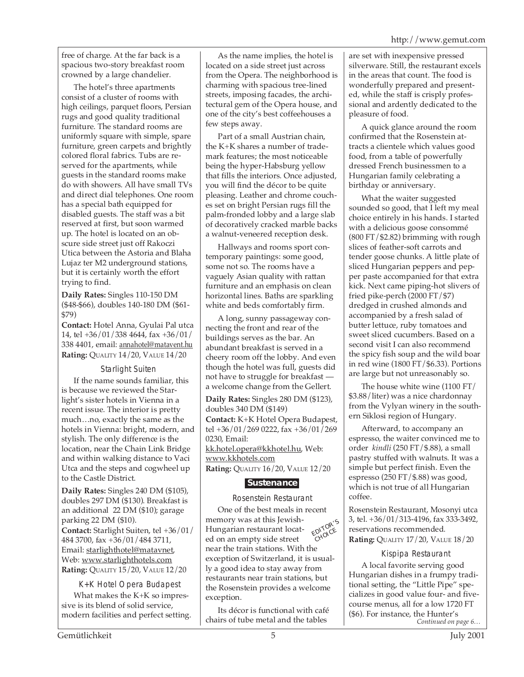free of charge. At the far back is a spacious two-story breakfast room crowned by a large chandelier.

The hotel's three apartments consist of a cluster of rooms with high ceilings, parquet floors, Persian rugs and good quality traditional furniture. The standard rooms are uniformly square with simple, spare furniture, green carpets and brightly colored floral fabrics. Tubs are reserved for the apartments, while guests in the standard rooms make do with showers. All have small TVs and direct dial telephones. One room has a special bath equipped for disabled guests. The staff was a bit reserved at first, but soon warmed up. The hotel is located on an obscure side street just off Rakoczi Utica between the Astoria and Blaha Lujaz ter M2 underground stations, but it is certainly worth the effort trying to find.

**Daily Rates:** Singles 110-150 DM (\$48-\$66), doubles 140-180 DM (\$61- \$79)

**Contact:** Hotel Anna, Gyulai Pal utca 14, tel +36/01/338 4644, fax +36/01/ 338 4401, email: annahotel@matavent.hu **Rating:** QUALITY 14/20, VALUE 14/20

#### Starlight Suiten

If the name sounds familiar, this is because we reviewed the Starlight's sister hotels in Vienna in a recent issue. The interior is pretty much…no, exactly the same as the hotels in Vienna: bright, modern, and stylish. The only difference is the location, near the Chain Link Bridge and within walking distance to Vaci Utca and the steps and cogwheel up to the Castle District.

**Daily Rates:** Singles 240 DM (\$105), doubles 297 DM (\$130). Breakfast is an additional 22 DM (\$10); garage parking 22 DM (\$10). **Contact:** Starlight Suiten, tel +36/01/ 484 3700, fax +36/01/484 3711, Email: starlighthotel@matavnet, Web: www.starlighthotels.com **Rating:** QUALITY 15/20, VALUE 12/20

 K+K Hotel Opera Budapest What makes the K+K so impressive is its blend of solid service, modern facilities and perfect setting.

As the name implies, the hotel is located on a side street just across from the Opera. The neighborhood is charming with spacious tree-lined streets, imposing facades, the architectural gem of the Opera house, and one of the city's best coffeehouses a few steps away.

Part of a small Austrian chain, the K+K shares a number of trademark features; the most noticeable being the hyper-Habsburg yellow that fills the interiors. Once adjusted, you will find the décor to be quite pleasing. Leather and chrome couches set on bright Persian rugs fill the palm-fronded lobby and a large slab of decoratively cracked marble backs a walnut-veneered reception desk.

Hallways and rooms sport contemporary paintings: some good, some not so. The rooms have a vaguely Asian quality with rattan furniture and an emphasis on clean horizontal lines. Baths are sparkling white and beds comfortably firm.

A long, sunny passageway connecting the front and rear of the buildings serves as the bar. An abundant breakfast is served in a cheery room off the lobby. And even though the hotel was full, guests did not have to struggle for breakfast a welcome change from the Gellert.

**Daily Rates:** Singles 280 DM (\$123), doubles 340 DM (\$149)

**Contact:** K+K Hotel Opera Budapest, tel +36/01/269 0222, fax +36/01/269 0230, Email:

kk.hotel.opera@kkhotel.hu, Web: www.kkhotels.com **Rating:** QUALITY 16/20, VALUE 12/20

### **Sustenance**

EDITOR'S CHOICE Rosenstein Restaurant One of the best meals in recent memory was at this Jewish-Hungarian restaurant located on an empty side street near the train stations. With the exception of Switzerland, it is usually a good idea to stay away from restaurants near train stations, but the Rosenstein provides a welcome exception.

Its décor is functional with café chairs of tube metal and the tables

are set with inexpensive pressed silverware. Still, the restaurant excels in the areas that count. The food is wonderfully prepared and presented, while the staff is crisply professional and ardently dedicated to the pleasure of food.

A quick glance around the room confirmed that the Rosenstein attracts a clientele which values good food, from a table of powerfully dressed French businessmen to a Hungarian family celebrating a birthday or anniversary.

What the waiter suggested sounded so good, that I left my meal choice entirely in his hands. I started with a delicious goose consommé (800 FT/\$2.82) brimming with rough slices of feather-soft carrots and tender goose chunks. A little plate of sliced Hungarian peppers and pepper paste accompanied for that extra kick. Next came piping-hot slivers of fried pike-perch (2000 FT/\$7) dredged in crushed almonds and accompanied by a fresh salad of butter lettuce, ruby tomatoes and sweet sliced cucumbers. Based on a second visit I can also recommend the spicy fish soup and the wild boar in red wine (1800 FT/\$6.33). Portions are large but not unreasonably so.

The house white wine (1100 FT/ \$3.88/liter) was a nice chardonnay from the Vylyan winery in the southern Siklosi region of Hungary.

Afterward, to accompany an espresso, the waiter convinced me to order *kindli* (250 FT/\$.88), a small pastry stuffed with walnuts. It was a simple but perfect finish. Even the espresso (250 FT/\$.88) was good, which is not true of all Hungarian coffee.

Rosenstein Restaurant, Mosonyi utca 3, tel. +36/01/313-4196, fax 333-3492, reservations recommended. **Rating:** QUALITY 17/20, VALUE 18/20

#### Kispipa Restaurant

*Continued on page 6…* A local favorite serving good Hungarian dishes in a frumpy traditional setting, the "Little Pipe" specializes in good value four- and fivecourse menus, all for a low 1720 FT (\$6). For instance, the Hunter's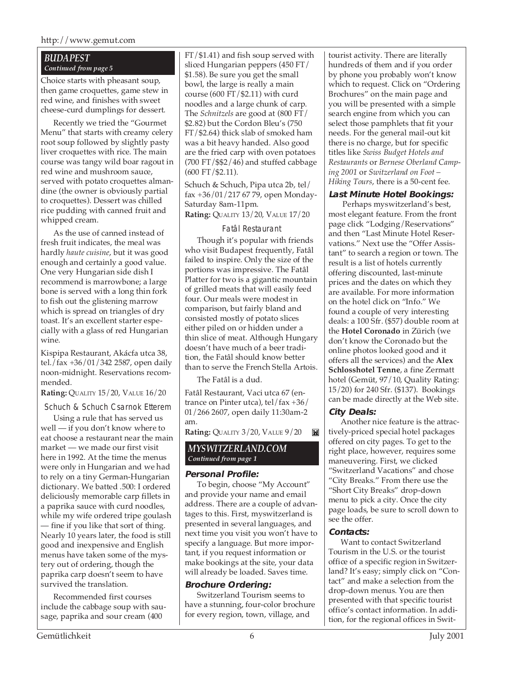#### http://www.gemut.com

#### *BUDAPEST Continued from page 5*

Choice starts with pheasant soup, then game croquettes, game stew in red wine, and finishes with sweet cheese-curd dumplings for dessert.

Recently we tried the "Gourmet Menu" that starts with creamy celery root soup followed by slightly pasty liver croquettes with rice. The main course was tangy wild boar ragout in red wine and mushroom sauce, served with potato croquettes almandine (the owner is obviously partial to croquettes). Dessert was chilled rice pudding with canned fruit and whipped cream.

As the use of canned instead of fresh fruit indicates, the meal was hardly *haute cuisine*, but it was good enough and certainly a good value. One very Hungarian side dish I recommend is marrowbone; a large bone is served with a long thin fork to fish out the glistening marrow which is spread on triangles of dry toast. It's an excellent starter especially with a glass of red Hungarian wine.

Kispipa Restaurant, Akácfa utca 38, tel./fax +36/01/342 2587, open daily noon-midnight. Reservations recommended.

**Rating:** QUALITY 15/20, VALUE 16/20

Schuch & Schuch Csarnok Etterem

Using a rule that has served us well — if you don't know where to eat choose a restaurant near the main market — we made our first visit here in 1992. At the time the menus were only in Hungarian and we had to rely on a tiny German-Hungarian dictionary. We batted .500: I ordered deliciously memorable carp fillets in a paprika sauce with curd noodles, while my wife ordered tripe goulash — fine if you like that sort of thing. Nearly 10 years later, the food is still good and inexpensive and English menus have taken some of the mystery out of ordering, though the paprika carp doesn't seem to have survived the translation.

Recommended first courses include the cabbage soup with sausage, paprika and sour cream (400

FT/\$1.41) and fish soup served with sliced Hungarian peppers (450 FT/ \$1.58). Be sure you get the small bowl, the large is really a main course (600 FT/\$2.11) with curd noodles and a large chunk of carp. The *Schnitzels* are good at (800 FT/ \$2.82) but the Cordon Bleu's (750 FT/\$2.64) thick slab of smoked ham was a bit heavy handed. Also good are the fried carp with oven potatoes  $(700 \text{ FT}/\$\$2/46)$  and stuffed cabbage (600 FT/\$2.11).

Schuch & Schuch, Pipa utca 2b, tel/ fax +36/01/217 67 79, open Monday-Saturday 8am-11pm.

**Rating:** QUALITY 13/20, VALUE 17/20

#### Fatâl Restaurant

Though it's popular with friends who visit Budapest frequently, Fatâl failed to inspire. Only the size of the portions was impressive. The Fatâl Platter for two is a gigantic mountain of grilled meats that will easily feed four. Our meals were modest in comparison, but fairly bland and consisted mostly of potato slices either piled on or hidden under a thin slice of meat. Although Hungary doesn't have much of a beer tradition, the Fatâl should know better than to serve the French Stella Artois.

The Fatâl is a dud.

Fatâl Restaurant, Vaci utca 67 (entrance on Pinter utca), tel/fax +36/ 01/266 2607, open daily 11:30am-2 am.

**Rating:** QUALITY 3/20, VALUE 9/20  $\mathbf{M}$ 

#### *MYSWITZERLAND.COM Continued from page 1*

#### **Personal Profile:**

To begin, choose "My Account" and provide your name and email address. There are a couple of advantages to this. First, myswitzerland is presented in several languages, and next time you visit you won't have to specify a language. But more important, if you request information or make bookings at the site, your data will already be loaded. Saves time.

#### **Brochure Ordering:**

Switzerland Tourism seems to have a stunning, four-color brochure for every region, town, village, and

tourist activity. There are literally hundreds of them and if you order by phone you probably won't know which to request. Click on "Ordering Brochures" on the main page and you will be presented with a simple search engine from which you can select those pamphlets that fit your needs. For the general mail-out kit there is no charge, but for specific titles like *Swiss Budget Hotels and Restaurants* or *Bernese Oberland Camping 2001* or *Switzerland on Foot – Hiking Tours*, there is a 50-cent fee.

#### **Last Minute Hotel Bookings:**

 Perhaps myswitzerland's best, most elegant feature. From the front page click "Lodging/Reservations" and then "Last Minute Hotel Reservations." Next use the "Offer Assistant" to search a region or town. The result is a list of hotels currently offering discounted, last-minute prices and the dates on which they are available. For more information on the hotel click on "Info." We found a couple of very interesting deals: a 100 Sfr. (\$57) double room at the **Hotel Coronado** in Zürich (we don't know the Coronado but the online photos looked good and it offers all the services) and the **Alex Schlosshotel Tenne**, a fine Zermatt hotel (Gemüt, 97/10, Quality Rating: 15/20) for 240 Sfr. (\$137). Bookings can be made directly at the Web site.

#### **City Deals:**

Another nice feature is the attractively-priced special hotel packages offered on city pages. To get to the right place, however, requires some maneuvering. First, we clicked "Switzerland Vacations" and chose "City Breaks." From there use the "Short City Breaks" drop-down menu to pick a city. Once the city page loads, be sure to scroll down to see the offer.

#### **Contacts:**

Want to contact Switzerland Tourism in the U.S. or the tourist office of a specific region in Switzerland? It's easy; simply click on "Contact" and make a selection from the drop-down menus. You are then presented with that specific tourist office's contact information. In addition, for the regional offices in Swit-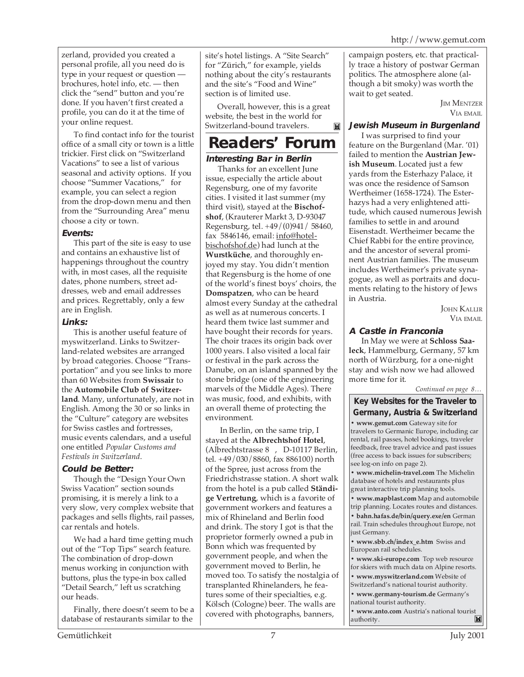zerland, provided you created a personal profile, all you need do is type in your request or question brochures, hotel info, etc. — then click the "send" button and you're done. If you haven't first created a profile, you can do it at the time of your online request.

To find contact info for the tourist office of a small city or town is a little trickier. First click on "Switzerland Vacations" to see a list of various seasonal and activity options. If you choose "Summer Vacations," for example, you can select a region from the drop-down menu and then from the "Surrounding Area" menu choose a city or town.

#### **Events:**

This part of the site is easy to use and contains an exhaustive list of happenings throughout the country with, in most cases, all the requisite dates, phone numbers, street addresses, web and email addresses and prices. Regrettably, only a few are in English.

#### **Links:**

This is another useful feature of myswitzerland. Links to Switzerland-related websites are arranged by broad categories. Choose "Transportation" and you see links to more than 60 Websites from **Swissair** to the **Automobile Club of Switzerland**. Many, unfortunately, are not in English. Among the 30 or so links in the "Culture" category are websites for Swiss castles and fortresses, music events calendars, and a useful one entitled *Popular Customs and Festivals in Switzerland*.

#### **Could be Better:**

Though the "Design Your Own Swiss Vacation" section sounds promising, it is merely a link to a very slow, very complex website that packages and sells flights, rail passes, car rentals and hotels.

We had a hard time getting much out of the "Top Tips" search feature. The combination of drop-down menus working in conjunction with buttons, plus the type-in box called "Detail Search," left us scratching our heads.

Finally, there doesn't seem to be a database of restaurants similar to the

site's hotel listings. A "Site Search" for "Zürich," for example, yields nothing about the city's restaurants and the site's "Food and Wine" section is of limited use.

Overall, however, this is a great website, the best in the world for Switzerland-bound travelers.  $\mathbf{E}$ 

### **Readers' Forum**

#### **Interesting Bar in Berlin**

Thanks for an excellent June issue, especially the article about Regensburg, one of my favorite cities. I visited it last summer (my third visit), stayed at the **Bischofshof**, (Krauterer Markt 3, D-93047 Regensburg, tel. +49/(0)941/ 58460, fax 5846146, email: info@hotelbischofshof.de) had lunch at the **Wurstküche**, and thoroughly enjoyed my stay. You didn't mention that Regensburg is the home of one of the world's finest boys' choirs, the **Domspatzen**, who can be heard almost every Sunday at the cathedral as well as at numerous concerts. I heard them twice last summer and have bought their records for years. The choir traces its origin back over 1000 years. I also visited a local fair or festival in the park across the Danube, on an island spanned by the stone bridge (one of the engineering marvels of the Middle Ages). There was music, food, and exhibits, with an overall theme of protecting the environment.

In Berlin, on the same trip, I stayed at the **Albrechtshof Hotel**, (Albrechtstrasse 8 , D-10117 Berlin, tel. +49/030/8860, fax 886100) north of the Spree, just across from the Friedrichstrasse station. A short walk from the hotel is a pub called **Ständige Vertretung**, which is a favorite of government workers and features a mix of Rhineland and Berlin food and drink. The story I got is that the proprietor formerly owned a pub in Bonn which was frequented by government people, and when the government moved to Berlin, he moved too. To satisfy the nostalgia of transplanted Rhinelanders, he features some of their specialties, e.g. Kölsch (Cologne) beer. The walls are covered with photographs, banners,

campaign posters, etc. that practically trace a history of postwar German politics. The atmosphere alone (although a bit smoky) was worth the wait to get seated.

**JIM MENTZER** VIA EMAIL

#### **Jewish Museum in Burgenland**

I was surprised to find your feature on the Burgenland (Mar. '01) failed to mention the **Austrian Jewish Museum**. Located just a few yards from the Esterhazy Palace, it was once the residence of Samson Wertheimer (1658-1724). The Esterhazys had a very enlightened attitude, which caused numerous Jewish families to settle in and around Eisenstadt. Wertheimer became the Chief Rabbi for the entire province, and the ancestor of several prominent Austrian families. The museum includes Wertheimer's private synagogue, as well as portraits and documents relating to the history of Jews in Austria.

> **JOHN KALLIR** VIA EMAIL

#### **A Castle in Franconia**

In May we were at **Schloss Saaleck**, Hammelburg, Germany, 57 km north of Würzburg, for a one-night stay and wish now we had allowed more time for it.

*Continued on page 8…*

#### **Key Websites for the Traveler to Germany, Austria & Switzerland**

**• www.gemut.com** Gateway site for travelers to Germanic Europe, including car rental, rail passes, hotel bookings, traveler feedback, free travel advice and past issues (free access to back issues for subscribers; see log-on info on page 2).

**• www.michelin-travel.com** The Michelin database of hotels and restaurants plus great interactive trip planning tools.

**• www.mapblast.com** Map and automobile trip planning. Locates routes and distances.

**• bahn.hafas.de/bin/query.exe/en** German rail. Train schedules throughout Europe, not just Germany.

**• www.sbb.ch/index\_e.htm** Swiss and European rail schedules.

**• www.ski-europe.com** Top web resource for skiers with much data on Alpine resorts.

**• www.myswitzerland.com** Website of Switzerland's national tourist authority.

**• www.germany-tourism.de** Germany's national tourist authority.

**• www.anto.com** Austria's national tourist authority. authority.